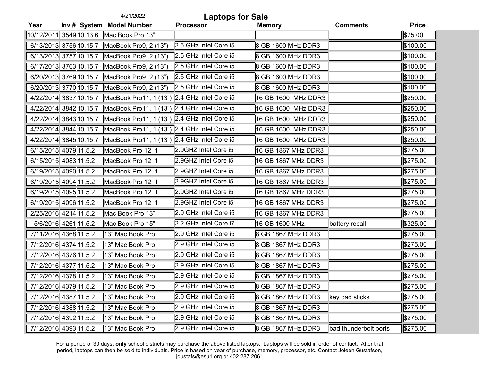|      | 4/21/2022<br><b>Laptops for Sale</b> |                                              |                         |                     |                       |              |
|------|--------------------------------------|----------------------------------------------|-------------------------|---------------------|-----------------------|--------------|
| Year |                                      | Inv # System Model Number                    | <b>Processor</b>        | <b>Memory</b>       | <b>Comments</b>       | <b>Price</b> |
|      |                                      | 10/12/2011 3549 10.13.6 Mac Book Pro 13"     |                         |                     |                       | \$75.00      |
|      |                                      | 6/13/2013 3756 10.15.7 MacBook Pro9, 2 (13") | 2.5 GHz Intel Core i5   | 8 GB 1600 MHz DDR3  |                       | \$100.00     |
|      | 6/13/2013 3757 10.15.7               | MacBook Pro9, 2 (13")                        | 2.5 GHz Intel Core i5   | 8 GB 1600 MHz DDR3  |                       | \$100.00     |
|      |                                      | 6/17/2013 3763 10.15.7 MacBook Pro9, 2 (13") | 2.5 GHz Intel Core i5   | 8 GB 1600 MHz DDR3  |                       | \$100.00     |
|      | 6/20/2013 3769 10.15.7               | MacBook Pro9, 2 (13")                        | 2.5 GHz Intel Core i5   | 8 GB 1600 MHz DDR3  |                       | \$100.00     |
|      | 6/20/2013 3770 10.15.7               | MacBook Pro9, 2 (13")                        | 2.5 GHz Intel Core i5   | 8 GB 1600 MHz DDR3  |                       | \$100.00     |
|      | 4/22/2014 3837 10.15.7               | MacBook Pro11, 1 (13")                       | $2.4$ GHz Intel Core i5 | 16 GB 1600 MHz DDR3 |                       | \$250.00     |
|      | 4/22/2014 3842 10.15.7               | MacBook Pro11, 1 (13")                       | $2.4$ GHz Intel Core i5 | 16 GB 1600 MHz DDR3 |                       | \$250.00     |
|      | 4/22/2014 3843 10.15.7               | MacBook Pro11, 1 (13")                       | 2.4 GHz Intel Core i5   | 16 GB 1600 MHz DDR3 |                       | \$250.00     |
|      | 4/22/2014 3844 10.15.7               | MacBook Pro11, 1 (13") 2.4 GHz Intel Core i5 |                         | 16 GB 1600 MHz DDR3 |                       | \$250.00     |
|      | 4/22/2014 3845 10.15.7               | MacBook Pro11, 1 (13")                       | 2.4 GHz Intel Core i5   | 16 GB 1600 MHz DDR3 |                       | \$250.00     |
|      | 6/15/2015 4079 11.5.2                | MacBook Pro 12, 1                            | 2.9GHZ Intel Core i5    | 16 GB 1867 MHz DDR3 |                       | \$275.00     |
|      | 6/15/2015 4083 11.5.2                | MacBook Pro 12, 1                            | 2.9GHZ Intel Core i5    | 16 GB 1867 MHz DDR3 |                       | \$275.00     |
|      | 6/19/2015 4090 11.5.2                | MacBook Pro 12, 1                            | 2.9GHZ Intel Core i5    | 16 GB 1867 MHz DDR3 |                       | \$275.00     |
|      | 6/19/2015 4094 11.5.2                | MacBook Pro 12, 1                            | 2.9GHZ Intel Core i5    | 16 GB 1867 MHz DDR3 |                       | \$275.00     |
|      | 6/19/2015 4095 11.5.2                | MacBook Pro 12, 1                            | 2.9GHZ Intel Core i5    | 16 GB 1867 MHz DDR3 |                       | \$275.00     |
|      | 6/19/2015 4096 11.5.2                | MacBook Pro 12, 1                            | 2.9GHZ Intel Core i5    | 16 GB 1867 MHz DDR3 |                       | \$275.00     |
|      | 2/25/2016 4214 11.5.2                | Mac Book Pro 13"                             | 2.9 GHz Intel Core i5   | 16 GB 1867 MHz DDR3 |                       | \$275.00     |
|      | 5/6/2016 4261 11.5.2                 | Mac Book Pro 15"                             | 2.2 GHz Intel Core i7   | 16 GB 1600 MHz      | battery recall        | \$325.00     |
|      | 7/11/2016 4368 11.5.2                | 13" Mac Book Pro                             | 2.9 GHz Intel Core i5   | 8 GB 1867 MHz DDR3  |                       | \$275.00     |
|      | 7/12/2016 4374 11.5.2                | 13" Mac Book Pro                             | 2.9 GHz Intel Core i5   | 8 GB 1867 MHz DDR3  |                       | \$275.00     |
|      | 7/12/2016 4376 11.5.2                | 13" Mac Book Pro                             | 2.9 GHz Intel Core i5   | 8 GB 1867 MHz DDR3  |                       | \$275.00     |
|      | 7/12/2016 4377 11.5.2                | 13" Mac Book Pro                             | 2.9 GHz Intel Core i5   | 8 GB 1867 MHz DDR3  |                       | \$275.00     |
|      | 7/12/2016 4378 11.5.2                | 13" Mac Book Pro                             | 2.9 GHz Intel Core i5   | 8 GB 1867 MHz DDR3  |                       | \$275.00     |
|      | 7/12/2016 4379 11.5.2                | 13" Mac Book Pro                             | 2.9 GHz Intel Core i5   | 8 GB 1867 MHz DDR3  |                       | 8275.00      |
|      | 7/12/2016 4387 11.5.2                | 13" Mac Book Pro                             | 2.9 GHz Intel Core i5   | 8 GB 1867 MHz DDR3  | ∥key pad sticks       | \$275.00     |
|      | 7/12/2016 4388 11.5.2                | 13" Mac Book Pro                             | 2.9 GHz Intel Core i5   | 8 GB 1867 MHz DDR3  |                       | \$275.00     |
|      | 7/12/2016 4392 11.5.2                | 13" Mac Book Pro                             | 2.9 GHz Intel Core i5   | 8 GB 1867 MHz DDR3  |                       | \$275.00     |
|      | 7/12/2016 4393 11.5.2                | 13" Mac Book Pro                             | 2.9 GHz Intel Core i5   | 8 GB 1867 MHz DDR3  | bad thunderbolt ports | \$275.00     |

For a period of 30 days, **only** school districts may purchase the above listed laptops. Laptops will be sold in order of contact. After that period, laptops can then be sold to individuals. Price is based on year of purchase, memory, processor, etc. Contact Joleen Gustafson, jgustafs@esu1.org or 402.287.2061

(Montere